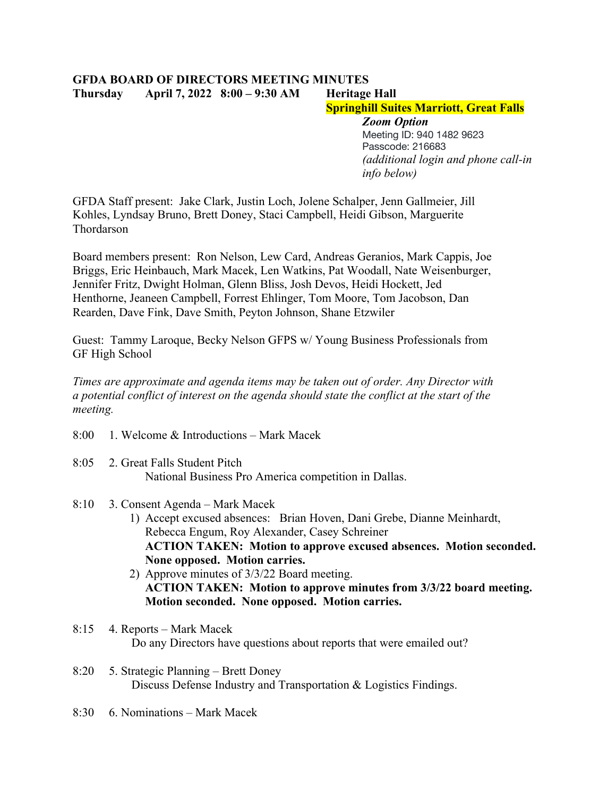## **GFDA BOARD OF DIRECTORS MEETING MINUTES Thursday April 7, 2022 8:00 – 9:30 AM Heritage Hall**

## **Springhill Suites Marriott, Great Falls**

*Zoom Option* Meeting ID: 940 1482 9623 Passcode: 216683 *(additional login and phone call-in info below)*

GFDA Staff present: Jake Clark, Justin Loch, Jolene Schalper, Jenn Gallmeier, Jill Kohles, Lyndsay Bruno, Brett Doney, Staci Campbell, Heidi Gibson, Marguerite Thordarson

Board members present: Ron Nelson, Lew Card, Andreas Geranios, Mark Cappis, Joe Briggs, Eric Heinbauch, Mark Macek, Len Watkins, Pat Woodall, Nate Weisenburger, Jennifer Fritz, Dwight Holman, Glenn Bliss, Josh Devos, Heidi Hockett, Jed Henthorne, Jeaneen Campbell, Forrest Ehlinger, Tom Moore, Tom Jacobson, Dan Rearden, Dave Fink, Dave Smith, Peyton Johnson, Shane Etzwiler

Guest: Tammy Laroque, Becky Nelson GFPS w/ Young Business Professionals from GF High School

*Times are approximate and agenda items may be taken out of order. Any Director with a potential conflict of interest on the agenda should state the conflict at the start of the meeting.*

- 8:00 1. Welcome & Introductions Mark Macek
- 8:05 2. Great Falls Student Pitch National Business Pro America competition in Dallas.
- 8:10 3. Consent Agenda Mark Macek
	- 1) Accept excused absences: Brian Hoven, Dani Grebe, Dianne Meinhardt, Rebecca Engum, Roy Alexander, Casey Schreiner **ACTION TAKEN: Motion to approve excused absences. Motion seconded. None opposed. Motion carries.**
	- 2) Approve minutes of 3/3/22 Board meeting. **ACTION TAKEN: Motion to approve minutes from 3/3/22 board meeting. Motion seconded. None opposed. Motion carries.**
- 8:15 4. Reports Mark Macek Do any Directors have questions about reports that were emailed out?
- 8:20 5. Strategic Planning Brett Doney Discuss Defense Industry and Transportation & Logistics Findings.
- 8:30 6. Nominations Mark Macek